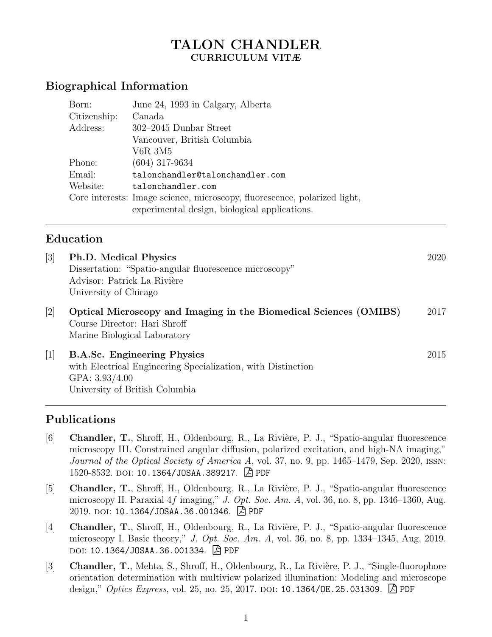## TALON CHANDLER CURRICULUM VITÆ

## Biographical Information

| Born:        | June 24, 1993 in Calgary, Alberta                                                                                          |  |  |
|--------------|----------------------------------------------------------------------------------------------------------------------------|--|--|
| Citizenship: | Canada                                                                                                                     |  |  |
| Address:     | $302-2045$ Dunbar Street                                                                                                   |  |  |
|              | Vancouver, British Columbia                                                                                                |  |  |
|              | V6R 3M5                                                                                                                    |  |  |
| Phone:       | $(604)$ 317-9634                                                                                                           |  |  |
| Email:       | talonchandler@talonchandler.com                                                                                            |  |  |
| Website:     | talonchandler.com                                                                                                          |  |  |
|              | Core interests: Image science, microscopy, fluorescence, polarized light,<br>experimental design, biological applications. |  |  |

### Education

| $\lceil 3 \rceil$   | <b>Ph.D.</b> Medical Physics<br>Dissertation: "Spatio-angular fluorescence microscopy"<br>Advisor: Patrick La Rivière<br>University of Chicago           | 2020 |
|---------------------|----------------------------------------------------------------------------------------------------------------------------------------------------------|------|
| $[2]$               | Optical Microscopy and Imaging in the Biomedical Sciences (OMIBS)<br>Course Director: Hari Shroff<br>Marine Biological Laboratory                        | 2017 |
| $\lfloor 1 \rfloor$ | <b>B.A.Sc. Engineering Physics</b><br>with Electrical Engineering Specialization, with Distinction<br>GPA: $3.93/4.00$<br>University of British Columbia | 2015 |

### Publications

- [6] Chandler, T., Shroff, H., Oldenbourg, R., La Rivière, P. J., "Spatio-angular fluorescence microscopy III. Constrained angular diffusion, polarized excitation, and high-NA imaging," Journal of the Optical Society of America A, vol. 37, no. 9, pp. 1465–1479, Sep. 2020, ISSN: 1520-8532. DOI: [10.1364/JOSAA.389217](https://doi.org/10.1364/JOSAA.389217). A [PDF](https://talonchandler.com/papers/2020-josaa.pdf)
- [5] Chandler, T., Shroff, H., Oldenbourg, R., La Rivière, P. J., "Spatio-angular fluorescence microscopy II. Paraxial  $4f$  imaging," J. Opt. Soc. Am. A, vol. 36, no. 8, pp. 1346–1360, Aug. 2019. doi: [10.1364/JOSAA.36.001346](https://doi.org/10.1364/JOSAA.36.001346). <u>A</u> [PDF](https://talonchandler.com/papers/2019-josaa-b.pdf)
- [4] Chandler, T., Shroff, H., Oldenbourg, R., La Rivière, P. J., "Spatio-angular fluorescence microscopy I. Basic theory," J. Opt. Soc. Am. A, vol. 36, no. 8, pp. 1334–1345, Aug. 2019. DOI: [10.1364/JOSAA.36.001334](https://doi.org/10.1364/JOSAA.36.001334). <u>A</u> [PDF](https://talonchandler.com/papers/2019-josaa-a.pdf)
- [3] Chandler, T., Mehta, S., Shroff, H., Oldenbourg, R., La Rivière, P. J., "Single-fluorophore orientation determination with multiview polarized illumination: Modeling and microscope design," *Optics Express*, vol. 25, no. 25, 2017. DOI: [10.1364/OE.25.031309](https://doi.org/10.1364/OE.25.031309).  $\Box$  [PDF](https://talonchandler.com/papers/2017-optics-express.pdf)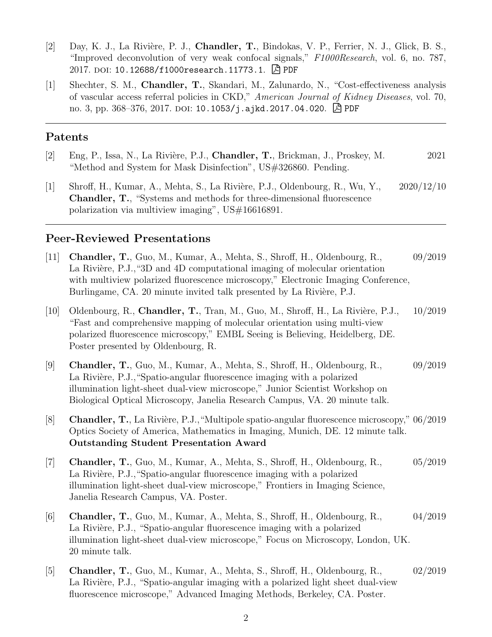- [2] Day, K. J., La Rivière, P. J., Chandler, T., Bindokas, V. P., Ferrier, N. J., Glick, B. S., "Improved deconvolution of very weak confocal signals," F1000Research, vol. 6, no. 787, 2017. DOI: [10.12688/f1000research.11773.1](https://doi.org/10.12688/f1000research.11773.1). 凶 [PDF](https://talonchandler.com/papers/2017-f1000.pdf)
- [1] Shechter, S. M., Chandler, T., Skandari, M., Zalunardo, N., "Cost-effectiveness analysis of vascular access referral policies in CKD," American Journal of Kidney Diseases, vol. 70, no. 3, pp. 368–376, 2017. doi: [10.1053/j.ajkd.2017.04.020](https://doi.org/10.1053/j.ajkd.2017.04.020).  $\boxed{\mathbb{A}}$  [PDF](https://talonchandler.com/papers/2017-ajkd.pdf)

#### Patents

- [2] Eng, P., Issa, N., La Rivière, P.J., Chandler, T., Brickman, J., Proskey, M. 2021 "Method and System for Mask Disinfection", US#326860. Pending.
- [1] Shroff, H., Kumar, A., Mehta, S., La Rivière, P.J., Oldenbourg, R., Wu, Y., 2020/12/10 Chandler, T., "Systems and methods for three-dimensional fluorescence polarization via multiview imaging", US#16616891.

#### Peer-Reviewed Presentations

- [11] Chandler, T., Guo, M., Kumar, A., Mehta, S., Shroff, H., Oldenbourg, R., 09/2019 La Rivière, P.J., "3D and 4D computational imaging of molecular orientation with multiview polarized fluorescence microscopy," Electronic Imaging Conference, Burlingame, CA. 20 minute invited talk presented by La Rivière, P.J.
- [10] Oldenbourg, R., Chandler, T., Tran, M., Guo, M., Shroff, H., La Rivière, P.J., 10/2019 "Fast and comprehensive mapping of molecular orientation using multi-view polarized fluorescence microscopy," EMBL Seeing is Believing, Heidelberg, DE. Poster presented by Oldenbourg, R.
- [9] Chandler, T., Guo, M., Kumar, A., Mehta, S., Shroff, H., Oldenbourg, R., 09/2019 La Rivière, P.J., "Spatio-angular fluorescence imaging with a polarized illumination light-sheet dual-view microscope," Junior Scientist Workshop on Biological Optical Microscopy, Janelia Research Campus, VA. 20 minute talk.
- [8] Chandler, T., La Rivière, P.J., "Multipole spatio-angular fluorescence microscopy," 06/2019 Optics Society of America, Mathematics in Imaging, Munich, DE. 12 minute talk. Outstanding Student Presentation Award
- [7] Chandler, T., Guo, M., Kumar, A., Mehta, S., Shroff, H., Oldenbourg, R., 05/2019 La Rivière, P.J., "Spatio-angular fluorescence imaging with a polarized illumination light-sheet dual-view microscope," Frontiers in Imaging Science, Janelia Research Campus, VA. Poster.
- [6] Chandler, T., Guo, M., Kumar, A., Mehta, S., Shroff, H., Oldenbourg, R., 04/2019 La Rivière, P.J., "Spatio-angular fluorescence imaging with a polarized illumination light-sheet dual-view microscope," Focus on Microscopy, London, UK. 20 minute talk.
- [5] Chandler, T., Guo, M., Kumar, A., Mehta, S., Shroff, H., Oldenbourg, R., 02/2019 La Rivière, P.J., "Spatio-angular imaging with a polarized light sheet dual-view fluorescence microscope," Advanced Imaging Methods, Berkeley, CA. Poster.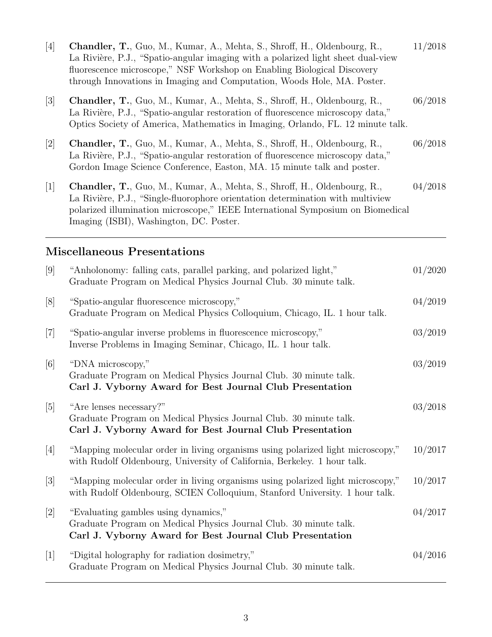| $[4]$             | Chandler, T., Guo, M., Kumar, A., Mehta, S., Shroff, H., Oldenbourg, R.,<br>La Rivière, P.J., "Spatio-angular imaging with a polarized light sheet dual-view<br>fluorescence microscope," NSF Workshop on Enabling Biological Discovery<br>through Innovations in Imaging and Computation, Woods Hole, MA. Poster. | 11/2018 |
|-------------------|--------------------------------------------------------------------------------------------------------------------------------------------------------------------------------------------------------------------------------------------------------------------------------------------------------------------|---------|
| $[3]$             | Chandler, T., Guo, M., Kumar, A., Mehta, S., Shroff, H., Oldenbourg, R.,<br>La Rivière, P.J., "Spatio-angular restoration of fluorescence microscopy data,"<br>Optics Society of America, Mathematics in Imaging, Orlando, FL. 12 minute talk.                                                                     | 06/2018 |
| $[2]$             | Chandler, T., Guo, M., Kumar, A., Mehta, S., Shroff, H., Oldenbourg, R.,<br>La Rivière, P.J., "Spatio-angular restoration of fluorescence microscopy data,"<br>Gordon Image Science Conference, Easton, MA. 15 minute talk and poster.                                                                             | 06/2018 |
| $[1]$             | Chandler, T., Guo, M., Kumar, A., Mehta, S., Shroff, H., Oldenbourg, R.,<br>La Rivière, P.J., "Single-fluorophore orientation determination with multiview<br>polarized illumination microscope," IEEE International Symposium on Biomedical<br>Imaging (ISBI), Washington, DC. Poster.                            | 04/2018 |
|                   | <b>Miscellaneous Presentations</b>                                                                                                                                                                                                                                                                                 |         |
| [9]               | "Anholonomy: falling cats, parallel parking, and polarized light,"<br>Graduate Program on Medical Physics Journal Club. 30 minute talk.                                                                                                                                                                            | 01/2020 |
| [8]               | "Spatio-angular fluorescence microscopy,"<br>Graduate Program on Medical Physics Colloquium, Chicago, IL. 1 hour talk.                                                                                                                                                                                             | 04/2019 |
| $[7]$             | "Spatio-angular inverse problems in fluorescence microscopy,"<br>Inverse Problems in Imaging Seminar, Chicago, IL. 1 hour talk.                                                                                                                                                                                    | 03/2019 |
| $\lceil 6 \rceil$ | "DNA microscopy,"                                                                                                                                                                                                                                                                                                  | 03/2019 |

|                   | Carl J. Vyborny Award for Best Journal Club Presentation                                                                                                       |         |
|-------------------|----------------------------------------------------------------------------------------------------------------------------------------------------------------|---------|
| [5]               | "Are lenses necessary?"<br>Graduate Program on Medical Physics Journal Club. 30 minute talk.<br>Carl J. Vyborny Award for Best Journal Club Presentation       | 03/2018 |
| [4]               | "Mapping molecular order in living organisms using polarized light microscopy,"<br>with Rudolf Oldenbourg, University of California, Berkeley. 1 hour talk.    | 10/2017 |
| $\lceil 3 \rceil$ | "Mapping molecular order in living organisms using polarized light microscopy,"<br>with Rudolf Oldenbourg, SCIEN Colloquium, Stanford University. 1 hour talk. | 10/2017 |
|                   |                                                                                                                                                                |         |

Graduate Program on Medical Physics Journal Club. 30 minute talk.

- [2] "Evaluating gambles using dynamics," 04/2017 Graduate Program on Medical Physics Journal Club. 30 minute talk. Carl J. Vyborny Award for Best Journal Club Presentation
- [1] "Digital holography for radiation dosimetry," 04/2016 Graduate Program on Medical Physics Journal Club. 30 minute talk.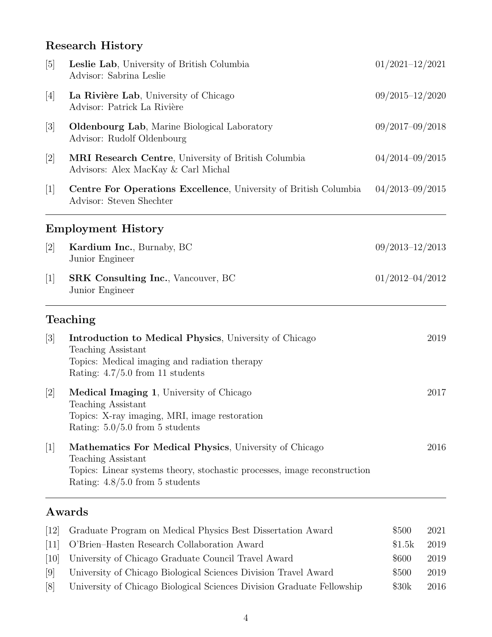# Research History

| $\lceil 5 \rceil$ | Leslie Lab, University of British Columbia<br>Advisor: Sabrina Leslie                                                                                                                          | $01/2021 - 12/2021$ |
|-------------------|------------------------------------------------------------------------------------------------------------------------------------------------------------------------------------------------|---------------------|
| $[4]$             | La Rivière Lab, University of Chicago<br>Advisor: Patrick La Rivière                                                                                                                           | $09/2015 - 12/2020$ |
| $[3]$             | <b>Oldenbourg Lab</b> , Marine Biological Laboratory<br>Advisor: Rudolf Oldenbourg                                                                                                             | $09/2017 - 09/2018$ |
| $[2]$             | MRI Research Centre, University of British Columbia<br>Advisors: Alex MacKay & Carl Michal                                                                                                     | $04/2014 - 09/2015$ |
| 1                 | Centre For Operations Excellence, University of British Columbia<br>Advisor: Steven Shechter                                                                                                   | $04/2013 - 09/2015$ |
|                   | <b>Employment History</b>                                                                                                                                                                      |                     |
| $[2]$             | Kardium Inc., Burnaby, BC<br>Junior Engineer                                                                                                                                                   | $09/2013 - 12/2013$ |
| $[1]$             | <b>SRK Consulting Inc., Vancouver, BC</b><br>Junior Engineer                                                                                                                                   | $01/2012 - 04/2012$ |
|                   | Teaching                                                                                                                                                                                       |                     |
| $[3]$             | <b>Introduction to Medical Physics</b> , University of Chicago<br><b>Teaching Assistant</b><br>Topics: Medical imaging and radiation therapy<br>Rating: $4.7/5.0$ from 11 students             | 2019                |
| $[2]$             | <b>Medical Imaging 1, University of Chicago</b><br><b>Teaching Assistant</b><br>Topics: X-ray imaging, MRI, image restoration<br>Rating: $5.0/5.0$ from 5 students                             | 2017                |
| $[1]$             | Mathematics For Medical Physics, University of Chicago<br>Teaching Assistant<br>Topics: Linear systems theory, stochastic processes, image reconstruction<br>Rating: $4.8/5.0$ from 5 students | 2016                |

## Awards

| (12)              | Graduate Program on Medical Physics Best Dissertation Award            | \$500  | 2021 |
|-------------------|------------------------------------------------------------------------|--------|------|
| 11                | O'Brien-Hasten Research Collaboration Award                            | \$1.5k | 2019 |
| 10                | University of Chicago Graduate Council Travel Award                    | \$600  | 2019 |
| 9                 | University of Chicago Biological Sciences Division Travel Award        | \$500  | 2019 |
| $\lceil 8 \rceil$ | University of Chicago Biological Sciences Division Graduate Fellowship | \$30k  | 2016 |